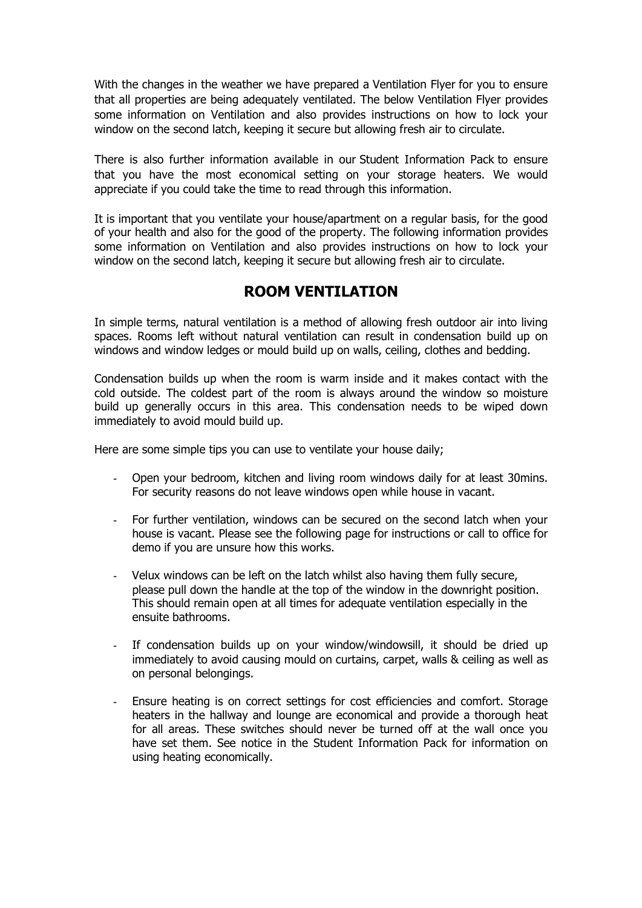With the changes in the weather we have prepared a Ventilation Flyer for you to ensure that all properties are being adequately ventilated. The below Ventilation Flyer provides some information on Ventilation and also provides instructions on how to lock your window on the second latch, keeping it secure but allowing fresh air to circulate.

There is also further information available in our Student Information Pack to ensure that you have the most economical setting on your storage heaters. We would appreciate if you could take the time to read through this information.

It is important that you ventilate your house/apartment on a regular basis, for the good of your health and also for the good of the property. The following information provides some information on Ventilation and also provides instructions on how to lock your window on the second latch, keeping it secure but allowing fresh air to circulate.

## **ROOM VENTILATION**

In simple terms, natural ventilation is a method of allowing fresh outdoor air into living spaces. Rooms left without natural ventilation can result in condensation build up on windows and window ledges or mould build up on walls, ceiling, clothes and bedding.

Condensation builds up when the room is warm inside and it makes contact with the cold outside. The coldest part of the room is always around the window so moisture build up generally occurs in this area. This condensation needs to be wiped down immediately to avoid mould build up.

Here are some simple tips you can use to ventilate your house daily;

- Open your bedroom, kitchen and living room windows daily for at least 30mins. For security reasons do not leave windows open while house in vacant.
- For further ventilation, windows can be secured on the second latch when your house is vacant. Please see the following page for instructions or call to office for demo if you are unsure how this works.
- Velux windows can be left on the latch whilst also having them fully secure, please pull down the handle at the top of the window in the downright position. This should remain open at all times for adequate ventilation especially in the ensuite bathrooms.
- If condensation builds up on your window/windowsill, it should be dried up immediately to avoid causing mould on curtains, carpet, walls & ceiling as well as on personal belongings.
- Ensure heating is on correct settings for cost efficiencies and comfort. Storage heaters in the hallway and lounge are economical and provide a thorough heat for all areas. These switches should never be turned off at the wall once you have set them. See notice in the Student Information Pack for information on using heating economically.